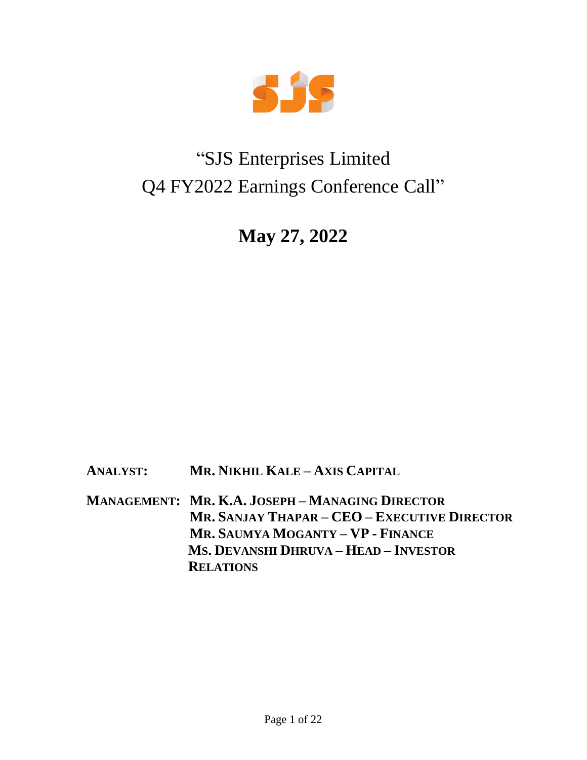

# "SJS Enterprises Limited Q4 FY2022 Earnings Conference Call"

**May 27, 2022**

**ANALYST: MR. NIKHIL KALE – AXIS CAPITAL**

**MANAGEMENT: MR. K.A. JOSEPH – MANAGING DIRECTOR MR. SANJAY THAPAR – CEO – EXECUTIVE DIRECTOR MR. SAUMYA MOGANTY – VP - FINANCE MS. DEVANSHI DHRUVA – HEAD – INVESTOR RELATIONS**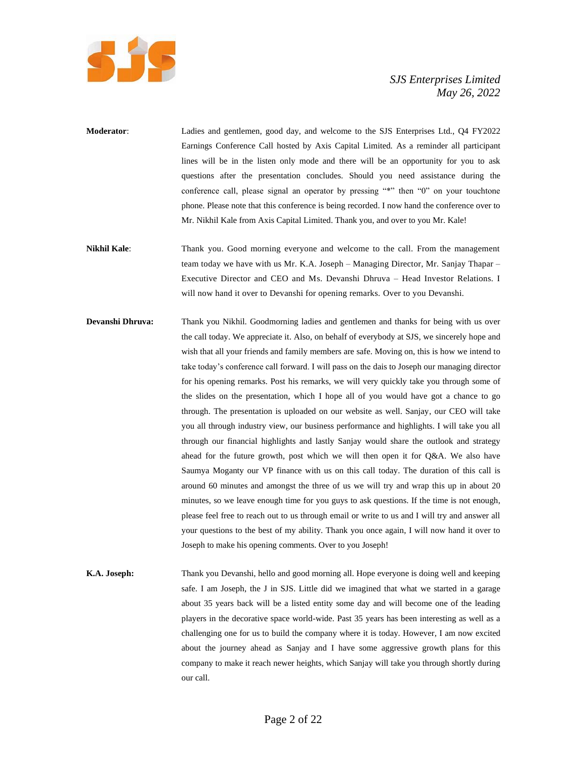

- **Moderator**: Ladies and gentlemen, good day, and welcome to the SJS Enterprises Ltd., Q4 FY2022 Earnings Conference Call hosted by Axis Capital Limited. As a reminder all participant lines will be in the listen only mode and there will be an opportunity for you to ask questions after the presentation concludes. Should you need assistance during the conference call, please signal an operator by pressing "\*" then "0" on your touchtone phone. Please note that this conference is being recorded. I now hand the conference over to Mr. Nikhil Kale from Axis Capital Limited. Thank you, and over to you Mr. Kale!
- **Nikhil Kale**: Thank you. Good morning everyone and welcome to the call. From the management team today we have with us Mr. K.A. Joseph – Managing Director, Mr. Sanjay Thapar – Executive Director and CEO and Ms. Devanshi Dhruva – Head Investor Relations. I will now hand it over to Devanshi for opening remarks. Over to you Devanshi.
- **Devanshi Dhruva:** Thank you Nikhil. Goodmorning ladies and gentlemen and thanks for being with us over the call today. We appreciate it. Also, on behalf of everybody at SJS, we sincerely hope and wish that all your friends and family members are safe. Moving on, this is how we intend to take today's conference call forward. I will pass on the dais to Joseph our managing director for his opening remarks. Post his remarks, we will very quickly take you through some of the slides on the presentation, which I hope all of you would have got a chance to go through. The presentation is uploaded on our website as well. Sanjay, our CEO will take you all through industry view, our business performance and highlights. I will take you all through our financial highlights and lastly Sanjay would share the outlook and strategy ahead for the future growth, post which we will then open it for Q&A. We also have Saumya Moganty our VP finance with us on this call today. The duration of this call is around 60 minutes and amongst the three of us we will try and wrap this up in about 20 minutes, so we leave enough time for you guys to ask questions. If the time is not enough, please feel free to reach out to us through email or write to us and I will try and answer all your questions to the best of my ability. Thank you once again, I will now hand it over to Joseph to make his opening comments. Over to you Joseph!
- **K.A. Joseph:** Thank you Devanshi, hello and good morning all. Hope everyone is doing well and keeping safe. I am Joseph, the J in SJS. Little did we imagined that what we started in a garage about 35 years back will be a listed entity some day and will become one of the leading players in the decorative space world-wide. Past 35 years has been interesting as well as a challenging one for us to build the company where it is today. However, I am now excited about the journey ahead as Sanjay and I have some aggressive growth plans for this company to make it reach newer heights, which Sanjay will take you through shortly during our call.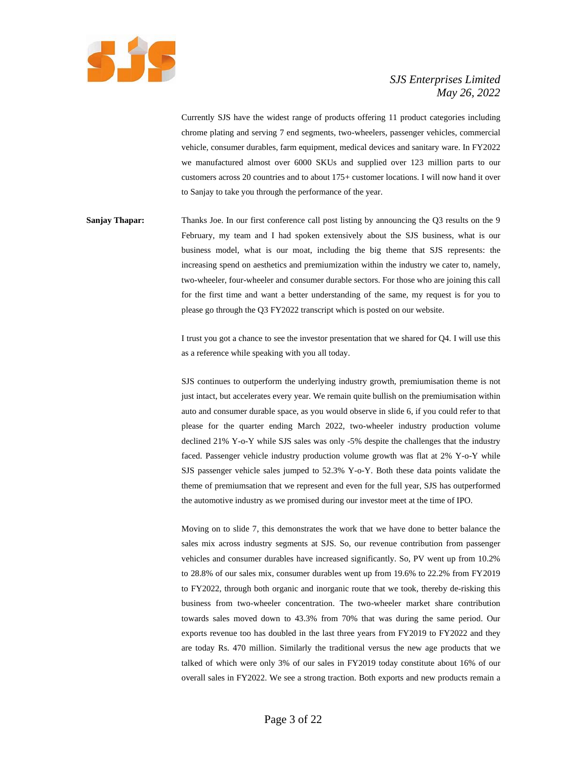

Currently SJS have the widest range of products offering 11 product categories including chrome plating and serving 7 end segments, two-wheelers, passenger vehicles, commercial vehicle, consumer durables, farm equipment, medical devices and sanitary ware. In FY2022 we manufactured almost over 6000 SKUs and supplied over 123 million parts to our customers across 20 countries and to about 175+ customer locations. I will now hand it over to Sanjay to take you through the performance of the year.

**Sanjay Thapar:** Thanks Joe. In our first conference call post listing by announcing the Q3 results on the 9 February, my team and I had spoken extensively about the SJS business, what is our business model, what is our moat, including the big theme that SJS represents: the increasing spend on aesthetics and premiumization within the industry we cater to, namely, two-wheeler, four-wheeler and consumer durable sectors. For those who are joining this call for the first time and want a better understanding of the same, my request is for you to please go through the Q3 FY2022 transcript which is posted on our website.

> I trust you got a chance to see the investor presentation that we shared for Q4. I will use this as a reference while speaking with you all today.

> SJS continues to outperform the underlying industry growth, premiumisation theme is not just intact, but accelerates every year. We remain quite bullish on the premiumisation within auto and consumer durable space, as you would observe in slide 6, if you could refer to that please for the quarter ending March 2022, two-wheeler industry production volume declined 21% Y-o-Y while SJS sales was only -5% despite the challenges that the industry faced. Passenger vehicle industry production volume growth was flat at 2% Y-o-Y while SJS passenger vehicle sales jumped to 52.3% Y-o-Y. Both these data points validate the theme of premiumsation that we represent and even for the full year, SJS has outperformed the automotive industry as we promised during our investor meet at the time of IPO.

> Moving on to slide 7, this demonstrates the work that we have done to better balance the sales mix across industry segments at SJS. So, our revenue contribution from passenger vehicles and consumer durables have increased significantly. So, PV went up from 10.2% to 28.8% of our sales mix, consumer durables went up from 19.6% to 22.2% from FY2019 to FY2022, through both organic and inorganic route that we took, thereby de-risking this business from two-wheeler concentration. The two-wheeler market share contribution towards sales moved down to 43.3% from 70% that was during the same period. Our exports revenue too has doubled in the last three years from FY2019 to FY2022 and they are today Rs. 470 million. Similarly the traditional versus the new age products that we talked of which were only 3% of our sales in FY2019 today constitute about 16% of our overall sales in FY2022. We see a strong traction. Both exports and new products remain a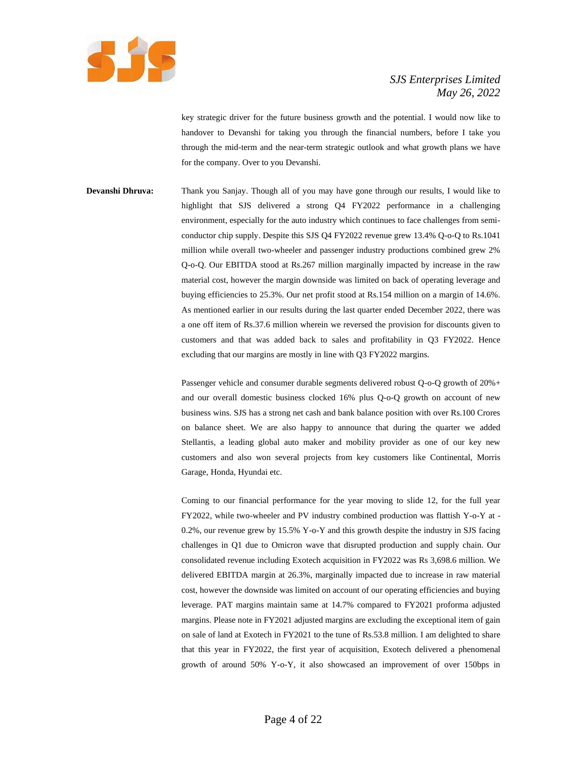

key strategic driver for the future business growth and the potential. I would now like to handover to Devanshi for taking you through the financial numbers, before I take you through the mid-term and the near-term strategic outlook and what growth plans we have for the company. Over to you Devanshi.

**Devanshi Dhruva:** Thank you Sanjay. Though all of you may have gone through our results, I would like to highlight that SJS delivered a strong Q4 FY2022 performance in a challenging environment, especially for the auto industry which continues to face challenges from semiconductor chip supply. Despite this SJS Q4 FY2022 revenue grew 13.4% Q-o-Q to Rs.1041 million while overall two-wheeler and passenger industry productions combined grew 2% Q-o-Q. Our EBITDA stood at Rs.267 million marginally impacted by increase in the raw material cost, however the margin downside was limited on back of operating leverage and buying efficiencies to 25.3%. Our net profit stood at Rs.154 million on a margin of 14.6%. As mentioned earlier in our results during the last quarter ended December 2022, there was a one off item of Rs.37.6 million wherein we reversed the provision for discounts given to customers and that was added back to sales and profitability in Q3 FY2022. Hence excluding that our margins are mostly in line with Q3 FY2022 margins.

> Passenger vehicle and consumer durable segments delivered robust Q-o-Q growth of 20%+ and our overall domestic business clocked 16% plus Q-o-Q growth on account of new business wins. SJS has a strong net cash and bank balance position with over Rs.100 Crores on balance sheet. We are also happy to announce that during the quarter we added Stellantis, a leading global auto maker and mobility provider as one of our key new customers and also won several projects from key customers like Continental, Morris Garage, Honda, Hyundai etc.

> Coming to our financial performance for the year moving to slide 12, for the full year FY2022, while two-wheeler and PV industry combined production was flattish Y-o-Y at - 0.2%, our revenue grew by 15.5% Y-o-Y and this growth despite the industry in SJS facing challenges in Q1 due to Omicron wave that disrupted production and supply chain. Our consolidated revenue including Exotech acquisition in FY2022 was Rs 3,698.6 million. We delivered EBITDA margin at 26.3%, marginally impacted due to increase in raw material cost, however the downside was limited on account of our operating efficiencies and buying leverage. PAT margins maintain same at 14.7% compared to FY2021 proforma adjusted margins. Please note in FY2021 adjusted margins are excluding the exceptional item of gain on sale of land at Exotech in FY2021 to the tune of Rs.53.8 million. I am delighted to share that this year in FY2022, the first year of acquisition, Exotech delivered a phenomenal growth of around 50% Y-o-Y, it also showcased an improvement of over 150bps in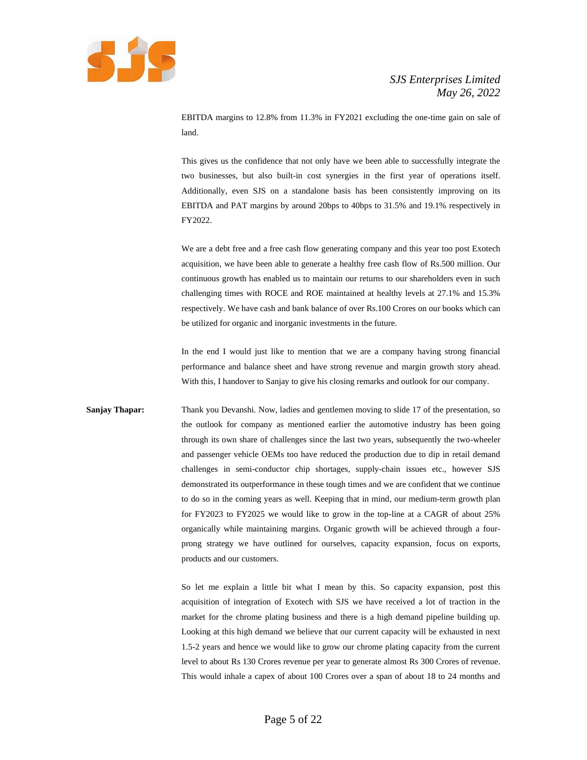

EBITDA margins to 12.8% from 11.3% in FY2021 excluding the one-time gain on sale of land.

This gives us the confidence that not only have we been able to successfully integrate the two businesses, but also built-in cost synergies in the first year of operations itself. Additionally, even SJS on a standalone basis has been consistently improving on its EBITDA and PAT margins by around 20bps to 40bps to 31.5% and 19.1% respectively in FY2022.

We are a debt free and a free cash flow generating company and this year too post Exotech acquisition, we have been able to generate a healthy free cash flow of Rs.500 million. Our continuous growth has enabled us to maintain our returns to our shareholders even in such challenging times with ROCE and ROE maintained at healthy levels at 27.1% and 15.3% respectively. We have cash and bank balance of over Rs.100 Crores on our books which can be utilized for organic and inorganic investments in the future.

In the end I would just like to mention that we are a company having strong financial performance and balance sheet and have strong revenue and margin growth story ahead. With this, I handover to Sanjay to give his closing remarks and outlook for our company.

**Sanjay Thapar:** Thank you Devanshi. Now, ladies and gentlemen moving to slide 17 of the presentation, so the outlook for company as mentioned earlier the automotive industry has been going through its own share of challenges since the last two years, subsequently the two-wheeler and passenger vehicle OEMs too have reduced the production due to dip in retail demand challenges in semi-conductor chip shortages, supply-chain issues etc., however SJS demonstrated its outperformance in these tough times and we are confident that we continue to do so in the coming years as well. Keeping that in mind, our medium-term growth plan for FY2023 to FY2025 we would like to grow in the top-line at a CAGR of about 25% organically while maintaining margins. Organic growth will be achieved through a fourprong strategy we have outlined for ourselves, capacity expansion, focus on exports, products and our customers.

> So let me explain a little bit what I mean by this. So capacity expansion, post this acquisition of integration of Exotech with SJS we have received a lot of traction in the market for the chrome plating business and there is a high demand pipeline building up. Looking at this high demand we believe that our current capacity will be exhausted in next 1.5-2 years and hence we would like to grow our chrome plating capacity from the current level to about Rs 130 Crores revenue per year to generate almost Rs 300 Crores of revenue. This would inhale a capex of about 100 Crores over a span of about 18 to 24 months and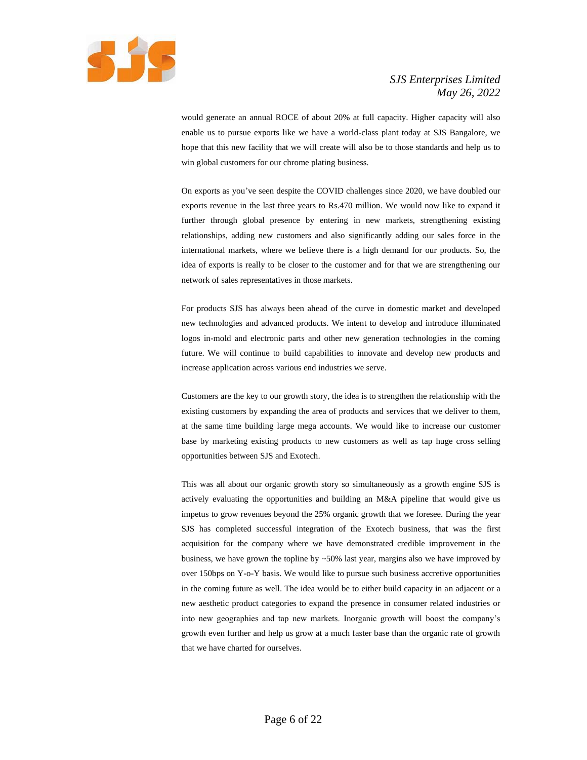

would generate an annual ROCE of about 20% at full capacity. Higher capacity will also enable us to pursue exports like we have a world-class plant today at SJS Bangalore, we hope that this new facility that we will create will also be to those standards and help us to win global customers for our chrome plating business.

On exports as you've seen despite the COVID challenges since 2020, we have doubled our exports revenue in the last three years to Rs.470 million. We would now like to expand it further through global presence by entering in new markets, strengthening existing relationships, adding new customers and also significantly adding our sales force in the international markets, where we believe there is a high demand for our products. So, the idea of exports is really to be closer to the customer and for that we are strengthening our network of sales representatives in those markets.

For products SJS has always been ahead of the curve in domestic market and developed new technologies and advanced products. We intent to develop and introduce illuminated logos in-mold and electronic parts and other new generation technologies in the coming future. We will continue to build capabilities to innovate and develop new products and increase application across various end industries we serve.

Customers are the key to our growth story, the idea is to strengthen the relationship with the existing customers by expanding the area of products and services that we deliver to them, at the same time building large mega accounts. We would like to increase our customer base by marketing existing products to new customers as well as tap huge cross selling opportunities between SJS and Exotech.

This was all about our organic growth story so simultaneously as a growth engine SJS is actively evaluating the opportunities and building an M&A pipeline that would give us impetus to grow revenues beyond the 25% organic growth that we foresee. During the year SJS has completed successful integration of the Exotech business, that was the first acquisition for the company where we have demonstrated credible improvement in the business, we have grown the topline by  $~50\%$  last year, margins also we have improved by over 150bps on Y-o-Y basis. We would like to pursue such business accretive opportunities in the coming future as well. The idea would be to either build capacity in an adjacent or a new aesthetic product categories to expand the presence in consumer related industries or into new geographies and tap new markets. Inorganic growth will boost the company's growth even further and help us grow at a much faster base than the organic rate of growth that we have charted for ourselves.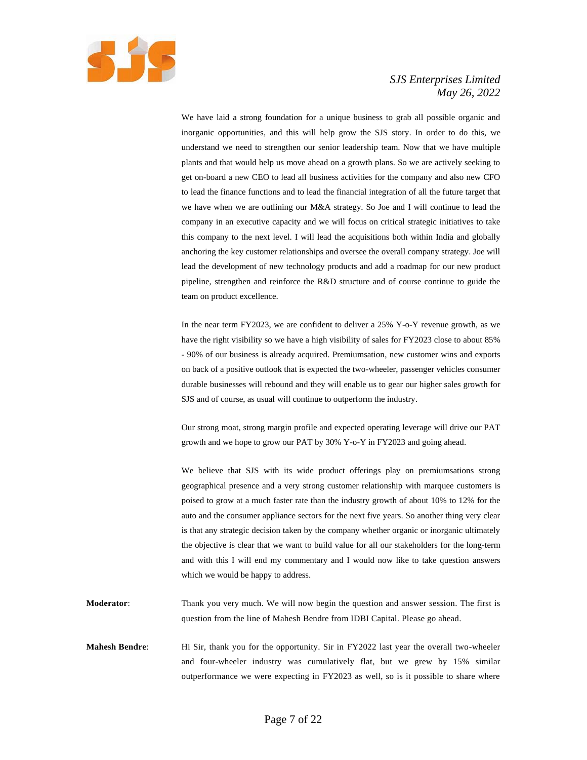

We have laid a strong foundation for a unique business to grab all possible organic and inorganic opportunities, and this will help grow the SJS story. In order to do this, we understand we need to strengthen our senior leadership team. Now that we have multiple plants and that would help us move ahead on a growth plans. So we are actively seeking to get on-board a new CEO to lead all business activities for the company and also new CFO to lead the finance functions and to lead the financial integration of all the future target that we have when we are outlining our M&A strategy. So Joe and I will continue to lead the company in an executive capacity and we will focus on critical strategic initiatives to take this company to the next level. I will lead the acquisitions both within India and globally anchoring the key customer relationships and oversee the overall company strategy. Joe will lead the development of new technology products and add a roadmap for our new product pipeline, strengthen and reinforce the R&D structure and of course continue to guide the team on product excellence.

In the near term FY2023, we are confident to deliver a 25% Y-o-Y revenue growth, as we have the right visibility so we have a high visibility of sales for FY2023 close to about 85% - 90% of our business is already acquired. Premiumsation, new customer wins and exports on back of a positive outlook that is expected the two-wheeler, passenger vehicles consumer durable businesses will rebound and they will enable us to gear our higher sales growth for SJS and of course, as usual will continue to outperform the industry.

Our strong moat, strong margin profile and expected operating leverage will drive our PAT growth and we hope to grow our PAT by 30% Y-o-Y in FY2023 and going ahead.

We believe that SJS with its wide product offerings play on premiumsations strong geographical presence and a very strong customer relationship with marquee customers is poised to grow at a much faster rate than the industry growth of about 10% to 12% for the auto and the consumer appliance sectors for the next five years. So another thing very clear is that any strategic decision taken by the company whether organic or inorganic ultimately the objective is clear that we want to build value for all our stakeholders for the long-term and with this I will end my commentary and I would now like to take question answers which we would be happy to address.

- **Moderator**: Thank you very much. We will now begin the question and answer session. The first is question from the line of Mahesh Bendre from IDBI Capital. Please go ahead.
- **Mahesh Bendre**: Hi Sir, thank you for the opportunity. Sir in FY2022 last year the overall two-wheeler and four-wheeler industry was cumulatively flat, but we grew by 15% similar outperformance we were expecting in FY2023 as well, so is it possible to share where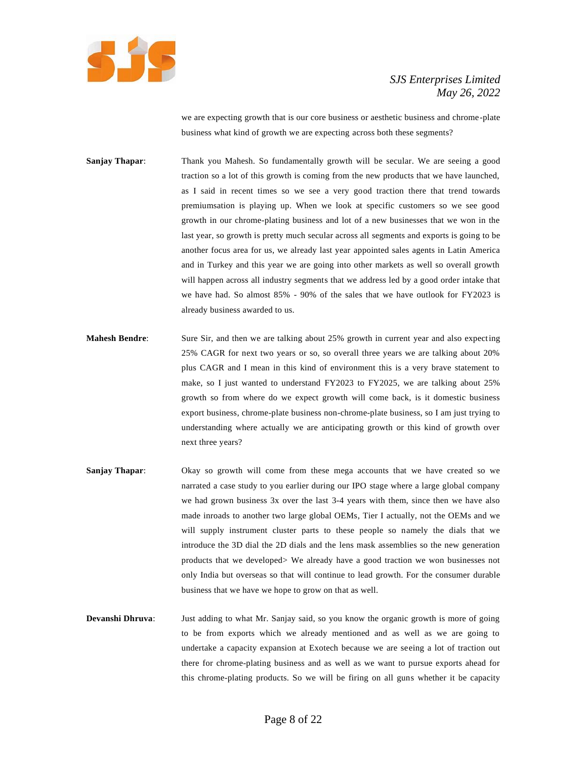

we are expecting growth that is our core business or aesthetic business and chrome-plate business what kind of growth we are expecting across both these segments?

**Sanjay Thapar:** Thank you Mahesh. So fundamentally growth will be secular. We are seeing a good traction so a lot of this growth is coming from the new products that we have launched, as I said in recent times so we see a very good traction there that trend towards premiumsation is playing up. When we look at specific customers so we see good growth in our chrome-plating business and lot of a new businesses that we won in the last year, so growth is pretty much secular across all segments and exports is going to be another focus area for us, we already last year appointed sales agents in Latin America and in Turkey and this year we are going into other markets as well so overall growth will happen across all industry segments that we address led by a good order intake that we have had. So almost 85% - 90% of the sales that we have outlook for FY2023 is already business awarded to us.

- **Mahesh Bendre**: Sure Sir, and then we are talking about 25% growth in current year and also expecting 25% CAGR for next two years or so, so overall three years we are talking about 20% plus CAGR and I mean in this kind of environment this is a very brave statement to make, so I just wanted to understand FY2023 to FY2025, we are talking about 25% growth so from where do we expect growth will come back, is it domestic business export business, chrome-plate business non-chrome-plate business, so I am just trying to understanding where actually we are anticipating growth or this kind of growth over next three years?
- **Sanjay Thapar:** Okay so growth will come from these mega accounts that we have created so we narrated a case study to you earlier during our IPO stage where a large global company we had grown business 3x over the last 3-4 years with them, since then we have also made inroads to another two large global OEMs, Tier I actually, not the OEMs and we will supply instrument cluster parts to these people so namely the dials that we introduce the 3D dial the 2D dials and the lens mask assemblies so the new generation products that we developed> We already have a good traction we won businesses not only India but overseas so that will continue to lead growth. For the consumer durable business that we have we hope to grow on that as well.
- **Devanshi Dhruva**: Just adding to what Mr. Sanjay said, so you know the organic growth is more of going to be from exports which we already mentioned and as well as we are going to undertake a capacity expansion at Exotech because we are seeing a lot of traction out there for chrome-plating business and as well as we want to pursue exports ahead for this chrome-plating products. So we will be firing on all guns whether it be capacity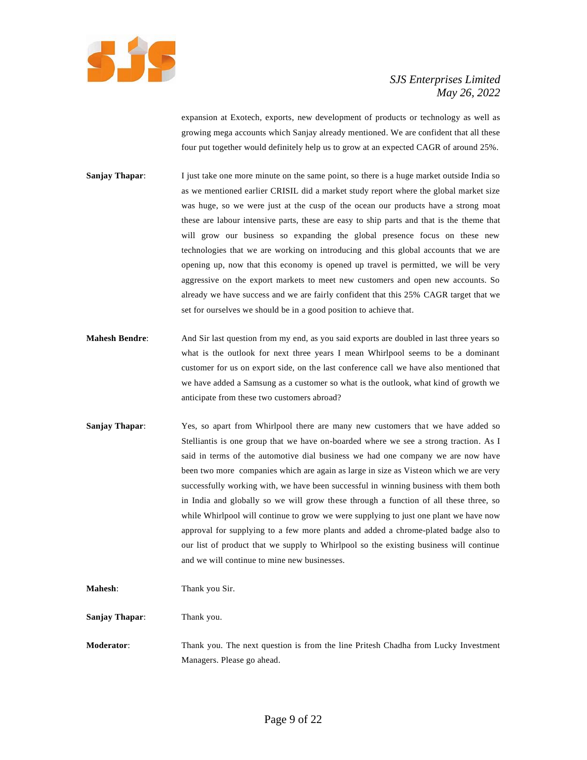

expansion at Exotech, exports, new development of products or technology as well as growing mega accounts which Sanjay already mentioned. We are confident that all these four put together would definitely help us to grow at an expected CAGR of around 25%.

- **Sanjay Thapar:** I just take one more minute on the same point, so there is a huge market outside India so as we mentioned earlier CRISIL did a market study report where the global market size was huge, so we were just at the cusp of the ocean our products have a strong moat these are labour intensive parts, these are easy to ship parts and that is the theme that will grow our business so expanding the global presence focus on these new technologies that we are working on introducing and this global accounts that we are opening up, now that this economy is opened up travel is permitted, we will be very aggressive on the export markets to meet new customers and open new accounts. So already we have success and we are fairly confident that this 25% CAGR target that we set for ourselves we should be in a good position to achieve that.
- **Mahesh Bendre**: And Sir last question from my end, as you said exports are doubled in last three years so what is the outlook for next three years I mean Whirlpool seems to be a dominant customer for us on export side, on the last conference call we have also mentioned that we have added a Samsung as a customer so what is the outlook, what kind of growth we anticipate from these two customers abroad?
- **Sanjay Thapar:** Yes, so apart from Whirlpool there are many new customers that we have added so Stelliantis is one group that we have on-boarded where we see a strong traction. As I said in terms of the automotive dial business we had one company we are now have been two more companies which are again as large in size as Visteon which we are very successfully working with, we have been successful in winning business with them both in India and globally so we will grow these through a function of all these three, so while Whirlpool will continue to grow we were supplying to just one plant we have now approval for supplying to a few more plants and added a chrome-plated badge also to our list of product that we supply to Whirlpool so the existing business will continue and we will continue to mine new businesses.

**Mahesh:** Thank you Sir.

**Sanjay Thapar**: Thank you.

**Moderator**: Thank you. The next question is from the line Pritesh Chadha from Lucky Investment Managers. Please go ahead.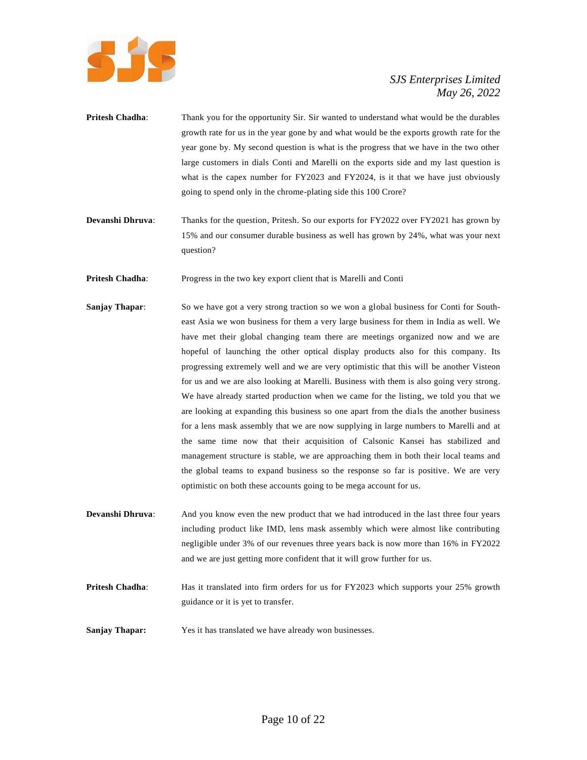

- **Pritesh Chadha:** Thank you for the opportunity Sir. Sir wanted to understand what would be the durables growth rate for us in the year gone by and what would be the exports growth rate for the year gone by. My second question is what is the progress that we have in the two other large customers in dials Conti and Marelli on the exports side and my last question is what is the capex number for FY2023 and FY2024, is it that we have just obviously going to spend only in the chrome-plating side this 100 Crore?
- **Devanshi Dhruva:** Thanks for the question, Pritesh. So our exports for FY2022 over FY2021 has grown by 15% and our consumer durable business as well has grown by 24%, what was your next question?

**Pritesh Chadha:** Progress in the two key export client that is Marelli and Conti

- **Sanjay Thapar:** So we have got a very strong traction so we won a global business for Conti for Southeast Asia we won business for them a very large business for them in India as well. We have met their global changing team there are meetings organized now and we are hopeful of launching the other optical display products also for this company. Its progressing extremely well and we are very optimistic that this will be another Visteon for us and we are also looking at Marelli. Business with them is also going very strong. We have already started production when we came for the listing, we told you that we are looking at expanding this business so one apart from the dials the another business for a lens mask assembly that we are now supplying in large numbers to Marelli and at the same time now that their acquisition of Calsonic Kansei has stabilized and management structure is stable, we are approaching them in both their local teams and the global teams to expand business so the response so far is positive. We are very optimistic on both these accounts going to be mega account for us.
- **Devanshi Dhruva:** And you know even the new product that we had introduced in the last three four years including product like IMD, lens mask assembly which were almost like contributing negligible under 3% of our revenues three years back is now more than 16% in FY2022 and we are just getting more confident that it will grow further for us.
- **Pritesh Chadha:** Has it translated into firm orders for us for FY2023 which supports your 25% growth guidance or it is yet to transfer.
- **Sanjay Thapar:** Yes it has translated we have already won businesses.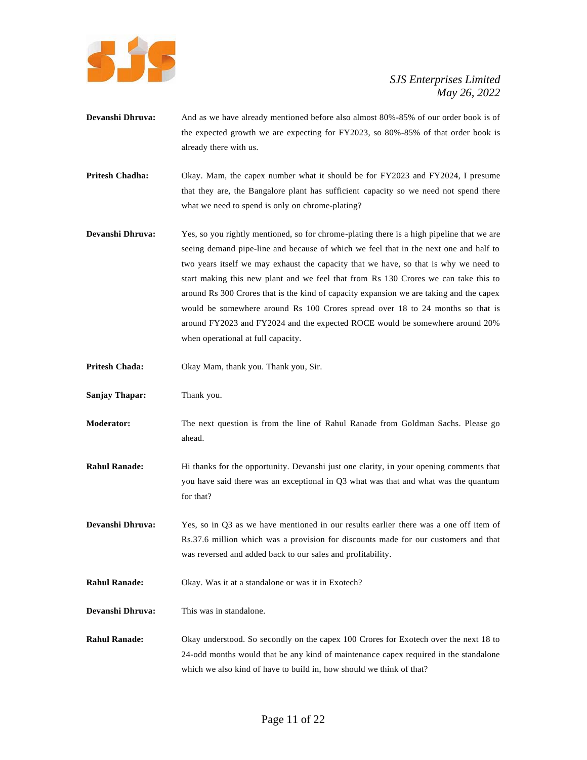

- **Devanshi Dhruva:** And as we have already mentioned before also almost 80%-85% of our order book is of the expected growth we are expecting for FY2023, so 80%-85% of that order book is already there with us.
- **Pritesh Chadha:** Okay. Mam, the capex number what it should be for FY2023 and FY2024, I presume that they are, the Bangalore plant has sufficient capacity so we need not spend there what we need to spend is only on chrome-plating?
- **Devanshi Dhruva:** Yes, so you rightly mentioned, so for chrome-plating there is a high pipeline that we are seeing demand pipe-line and because of which we feel that in the next one and half to two years itself we may exhaust the capacity that we have, so that is why we need to start making this new plant and we feel that from Rs 130 Crores we can take this to around Rs 300 Crores that is the kind of capacity expansion we are taking and the capex would be somewhere around Rs 100 Crores spread over 18 to 24 months so that is around FY2023 and FY2024 and the expected ROCE would be somewhere around 20% when operational at full capacity.
- **Pritesh Chada:** Okay Mam, thank you. Thank you, Sir.
- **Sanjay Thapar:** Thank you.
- **Moderator:** The next question is from the line of Rahul Ranade from Goldman Sachs. Please go ahead.
- **Rahul Ranade:** Hi thanks for the opportunity. Devanshi just one clarity, in your opening comments that you have said there was an exceptional in Q3 what was that and what was the quantum for that?
- **Devanshi Dhruva:** Yes, so in Q3 as we have mentioned in our results earlier there was a one off item of Rs.37.6 million which was a provision for discounts made for our customers and that was reversed and added back to our sales and profitability.
- **Rahul Ranade:** Okay. Was it at a standalone or was it in Exotech?
- **Devanshi Dhruva:** This was in standalone.
- **Rahul Ranade:** Okay understood. So secondly on the capex 100 Crores for Exotech over the next 18 to 24-odd months would that be any kind of maintenance capex required in the standalone which we also kind of have to build in, how should we think of that?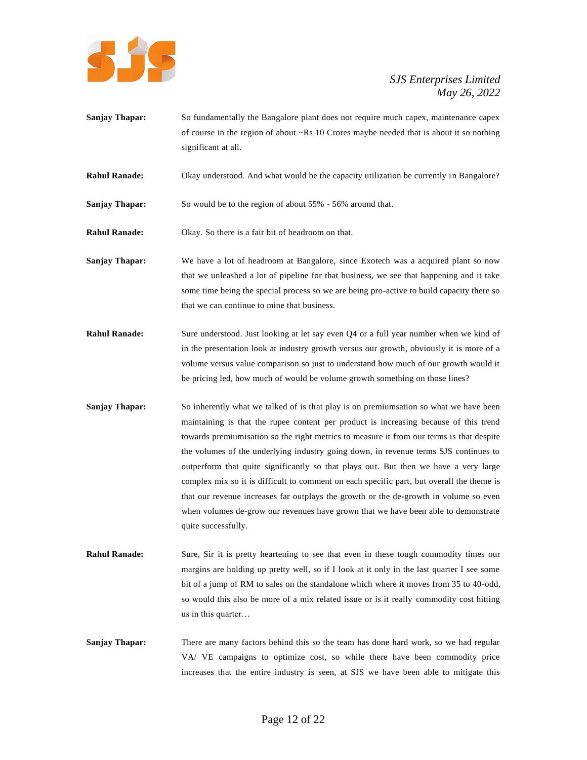

- **Sanjay Thapar:** So fundamentally the Bangalore plant does not require much capex, maintenance capex of course in the region of about ~Rs 10 Crores maybe needed that is about it so nothing significant at all.
- **Rahul Ranade:** Okay understood. And what would be the capacity utilization be currently in Bangalore?
- **Sanjay Thapar:** So would be to the region of about 55% 56% around that.
- **Rahul Ranade:** Okay. So there is a fair bit of headroom on that.
- **Sanjay Thapar:** We have a lot of headroom at Bangalore, since Exotech was a acquired plant so now that we unleashed a lot of pipeline for that business, we see that happening and it take some time being the special process so we are being pro-active to build capacity there so that we can continue to mine that business.
- **Rahul Ranade:** Sure understood. Just looking at let say even Q4 or a full year number when we kind of in the presentation look at industry growth versus our growth, obviously it is more of a volume versus value comparison so just to understand how much of our growth would it be pricing led, how much of would be volume growth something on those lines?
- **Sanjay Thapar:** So inherently what we talked of is that play is on premiumsation so what we have been maintaining is that the rupee content per product is increasing because of this trend towards premiumisation so the right metrics to measure it from our terms is that despite the volumes of the underlying industry going down, in revenue terms SJS continues to outperform that quite significantly so that plays out. But then we have a very large complex mix so it is difficult to comment on each specific part, but overall the theme is that our revenue increases far outplays the growth or the de-growth in volume so even when volumes de-grow our revenues have grown that we have been able to demonstrate quite successfully.
- **Rahul Ranade:** Sure, Sir it is pretty heartening to see that even in these tough commodity times our margins are holding up pretty well, so if I look at it only in the last quarter I see some bit of a jump of RM to sales on the standalone which where it moves from 35 to 40-odd, so would this also be more of a mix related issue or is it really commodity cost hitting us in this quarter…
- **Sanjay Thapar:** There are many factors behind this so the team has done hard work, so we had regular VA/ VE campaigns to optimize cost, so while there have been commodity price increases that the entire industry is seen, at SJS we have been able to mitigate this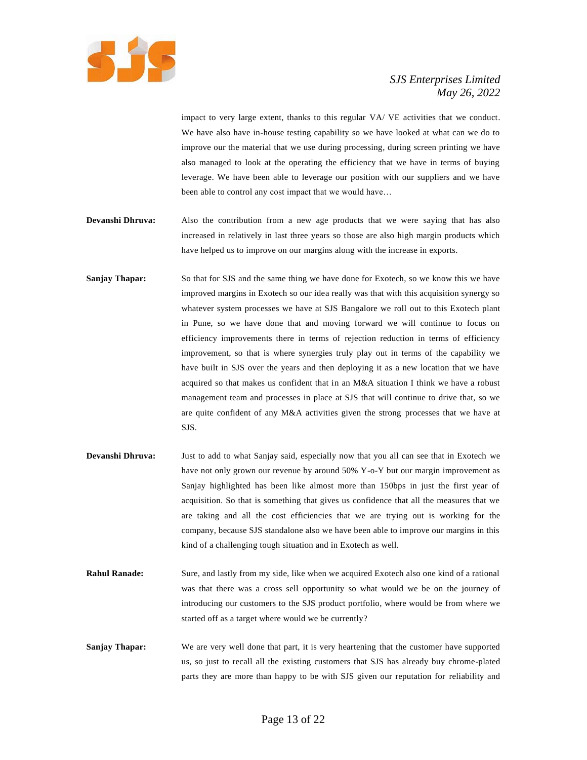

impact to very large extent, thanks to this regular VA/ VE activities that we conduct. We have also have in-house testing capability so we have looked at what can we do to improve our the material that we use during processing, during screen printing we have also managed to look at the operating the efficiency that we have in terms of buying leverage. We have been able to leverage our position with our suppliers and we have been able to control any cost impact that we would have…

- **Devanshi Dhruva:** Also the contribution from a new age products that we were saying that has also increased in relatively in last three years so those are also high margin products which have helped us to improve on our margins along with the increase in exports.
- **Sanjay Thapar:** So that for SJS and the same thing we have done for Exotech, so we know this we have improved margins in Exotech so our idea really was that with this acquisition synergy so whatever system processes we have at SJS Bangalore we roll out to this Exotech plant in Pune, so we have done that and moving forward we will continue to focus on efficiency improvements there in terms of rejection reduction in terms of efficiency improvement, so that is where synergies truly play out in terms of the capability we have built in SJS over the years and then deploying it as a new location that we have acquired so that makes us confident that in an M&A situation I think we have a robust management team and processes in place at SJS that will continue to drive that, so we are quite confident of any M&A activities given the strong processes that we have at SJS.
- **Devanshi Dhruva:** Just to add to what Sanjay said, especially now that you all can see that in Exotech we have not only grown our revenue by around 50% Y-o-Y but our margin improvement as Sanjay highlighted has been like almost more than 150bps in just the first year of acquisition. So that is something that gives us confidence that all the measures that we are taking and all the cost efficiencies that we are trying out is working for the company, because SJS standalone also we have been able to improve our margins in this kind of a challenging tough situation and in Exotech as well.
- **Rahul Ranade:** Sure, and lastly from my side, like when we acquired Exotech also one kind of a rational was that there was a cross sell opportunity so what would we be on the journey of introducing our customers to the SJS product portfolio, where would be from where we started off as a target where would we be currently?
- **Sanjay Thapar:** We are very well done that part, it is very heartening that the customer have supported us, so just to recall all the existing customers that SJS has already buy chrome-plated parts they are more than happy to be with SJS given our reputation for reliability and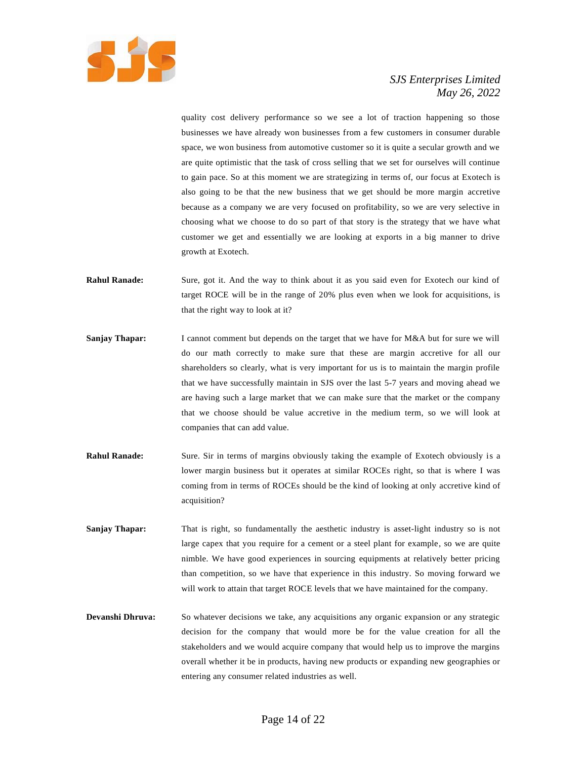

quality cost delivery performance so we see a lot of traction happening so those businesses we have already won businesses from a few customers in consumer durable space, we won business from automotive customer so it is quite a secular growth and we are quite optimistic that the task of cross selling that we set for ourselves will continue to gain pace. So at this moment we are strategizing in terms of, our focus at Exotech is also going to be that the new business that we get should be more margin accretive because as a company we are very focused on profitability, so we are very selective in choosing what we choose to do so part of that story is the strategy that we have what customer we get and essentially we are looking at exports in a big manner to drive growth at Exotech.

- **Rahul Ranade:** Sure, got it. And the way to think about it as you said even for Exotech our kind of target ROCE will be in the range of 20% plus even when we look for acquisitions, is that the right way to look at it?
- **Sanjay Thapar:** I cannot comment but depends on the target that we have for M&A but for sure we will do our math correctly to make sure that these are margin accretive for all our shareholders so clearly, what is very important for us is to maintain the margin profile that we have successfully maintain in SJS over the last 5-7 years and moving ahead we are having such a large market that we can make sure that the market or the company that we choose should be value accretive in the medium term, so we will look at companies that can add value.
- **Rahul Ranade:** Sure. Sir in terms of margins obviously taking the example of Exotech obviously is a lower margin business but it operates at similar ROCEs right, so that is where I was coming from in terms of ROCEs should be the kind of looking at only accretive kind of acquisition?
- **Sanjay Thapar:** That is right, so fundamentally the aesthetic industry is asset-light industry so is not large capex that you require for a cement or a steel plant for example, so we are quite nimble. We have good experiences in sourcing equipments at relatively better pricing than competition, so we have that experience in this industry. So moving forward we will work to attain that target ROCE levels that we have maintained for the company.
- **Devanshi Dhruva:** So whatever decisions we take, any acquisitions any organic expansion or any strategic decision for the company that would more be for the value creation for all the stakeholders and we would acquire company that would help us to improve the margins overall whether it be in products, having new products or expanding new geographies or entering any consumer related industries as well.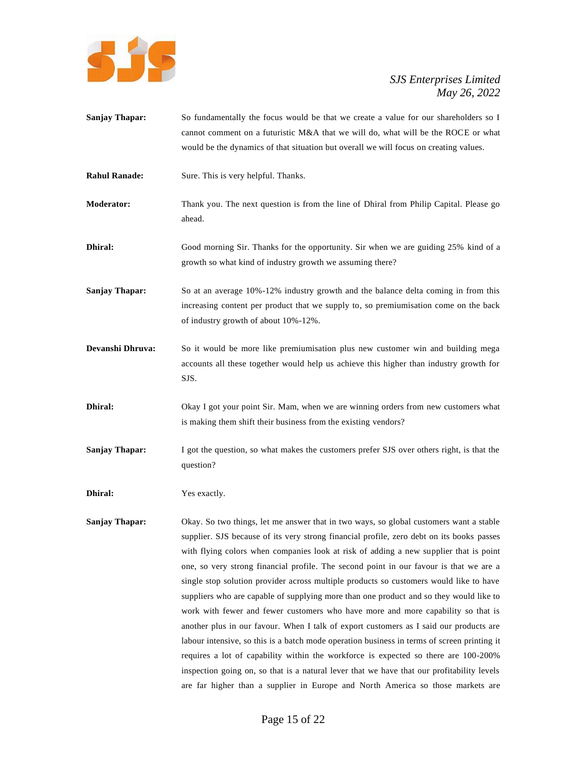

- **Sanjay Thapar:** So fundamentally the focus would be that we create a value for our shareholders so I cannot comment on a futuristic M&A that we will do, what will be the ROCE or what would be the dynamics of that situation but overall we will focus on creating values.
- **Rahul Ranade:** Sure. This is very helpful. Thanks.
- **Moderator:** Thank you. The next question is from the line of Dhiral from Philip Capital. Please go ahead.
- **Dhiral:** Good morning Sir. Thanks for the opportunity. Sir when we are guiding 25% kind of a growth so what kind of industry growth we assuming there?
- **Sanjay Thapar:** So at an average 10%-12% industry growth and the balance delta coming in from this increasing content per product that we supply to, so premiumisation come on the back of industry growth of about 10%-12%.
- **Devanshi Dhruva:** So it would be more like premiumisation plus new customer win and building mega accounts all these together would help us achieve this higher than industry growth for SJS.
- **Dhiral:** Okay I got your point Sir. Mam, when we are winning orders from new customers what is making them shift their business from the existing vendors?
- **Sanjay Thapar:** I got the question, so what makes the customers prefer SJS over others right, is that the question?

**Dhiral:** Yes exactly.

**Sanjay Thapar:** Okay. So two things, let me answer that in two ways, so global customers want a stable supplier. SJS because of its very strong financial profile, zero debt on its books passes with flying colors when companies look at risk of adding a new supplier that is point one, so very strong financial profile. The second point in our favour is that we are a single stop solution provider across multiple products so customers would like to have suppliers who are capable of supplying more than one product and so they would like to work with fewer and fewer customers who have more and more capability so that is another plus in our favour. When I talk of export customers as I said our products are labour intensive, so this is a batch mode operation business in terms of screen printing it requires a lot of capability within the workforce is expected so there are 100-200% inspection going on, so that is a natural lever that we have that our profitability levels are far higher than a supplier in Europe and North America so those markets are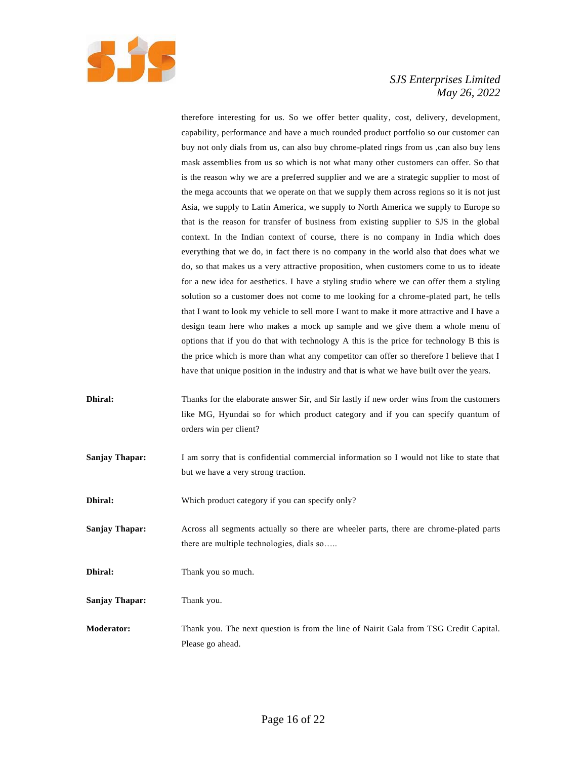

therefore interesting for us. So we offer better quality, cost, delivery, development, capability, performance and have a much rounded product portfolio so our customer can buy not only dials from us, can also buy chrome-plated rings from us ,can also buy lens mask assemblies from us so which is not what many other customers can offer. So that is the reason why we are a preferred supplier and we are a strategic supplier to most of the mega accounts that we operate on that we supply them across regions so it is not just Asia, we supply to Latin America, we supply to North America we supply to Europe so that is the reason for transfer of business from existing supplier to SJS in the global context. In the Indian context of course, there is no company in India which does everything that we do, in fact there is no company in the world also that does what we do, so that makes us a very attractive proposition, when customers come to us to ideate for a new idea for aesthetics. I have a styling studio where we can offer them a styling solution so a customer does not come to me looking for a chrome-plated part, he tells that I want to look my vehicle to sell more I want to make it more attractive and I have a design team here who makes a mock up sample and we give them a whole menu of options that if you do that with technology A this is the price for technology B this is the price which is more than what any competitor can offer so therefore I believe that I have that unique position in the industry and that is what we have built over the years.

- **Dhiral:** Thanks for the elaborate answer Sir, and Sir lastly if new order wins from the customers like MG, Hyundai so for which product category and if you can specify quantum of orders win per client?
- **Sanjay Thapar:** I am sorry that is confidential commercial information so I would not like to state that but we have a very strong traction.
- **Dhiral:** Which product category if you can specify only?
- **Sanjay Thapar:** Across all segments actually so there are wheeler parts, there are chrome-plated parts there are multiple technologies, dials so…..
- **Dhiral:** Thank you so much.
- **Sanjay Thapar:** Thank you.
- **Moderator:** Thank you. The next question is from the line of Nairit Gala from TSG Credit Capital. Please go ahead.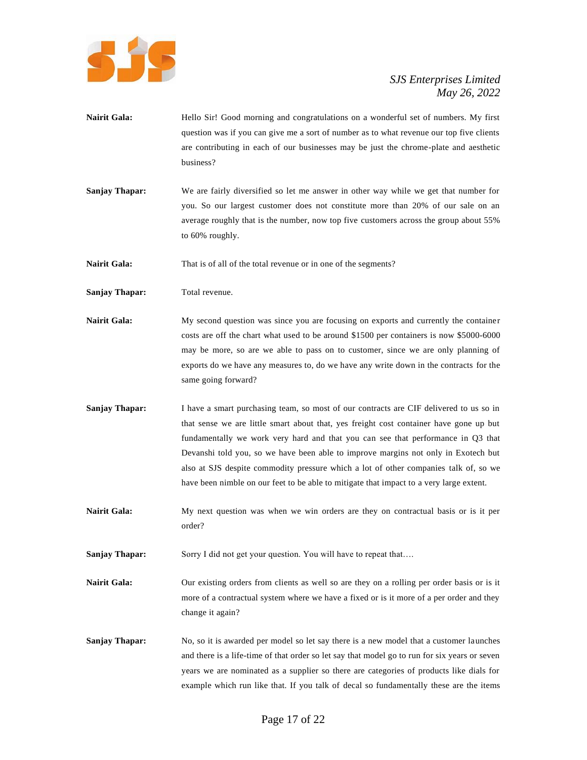

- Nairit Gala: Hello Sir! Good morning and congratulations on a wonderful set of numbers. My first question was if you can give me a sort of number as to what revenue our top five clients are contributing in each of our businesses may be just the chrome-plate and aesthetic business?
- **Sanjay Thapar:** We are fairly diversified so let me answer in other way while we get that number for you. So our largest customer does not constitute more than 20% of our sale on an average roughly that is the number, now top five customers across the group about 55% to 60% roughly.

**Nairit Gala:** That is of all of the total revenue or in one of the segments?

- Sanjay Thapar: Total revenue.
- Nairit Gala: My second question was since you are focusing on exports and currently the container costs are off the chart what used to be around \$1500 per containers is now \$5000-6000 may be more, so are we able to pass on to customer, since we are only planning of exports do we have any measures to, do we have any write down in the contracts for the same going forward?
- **Sanjay Thapar:** I have a smart purchasing team, so most of our contracts are CIF delivered to us so in that sense we are little smart about that, yes freight cost container have gone up but fundamentally we work very hard and that you can see that performance in Q3 that Devanshi told you, so we have been able to improve margins not only in Exotech but also at SJS despite commodity pressure which a lot of other companies talk of, so we have been nimble on our feet to be able to mitigate that impact to a very large extent.
- **Nairit Gala:** My next question was when we win orders are they on contractual basis or is it per order?

**Sanjay Thapar:** Sorry I did not get your question. You will have to repeat that....

- Nairit Gala: Our existing orders from clients as well so are they on a rolling per order basis or is it more of a contractual system where we have a fixed or is it more of a per order and they change it again?
- **Sanjay Thapar:** No, so it is awarded per model so let say there is a new model that a customer launches and there is a life-time of that order so let say that model go to run for six years or seven years we are nominated as a supplier so there are categories of products like dials for example which run like that. If you talk of decal so fundamentally these are the items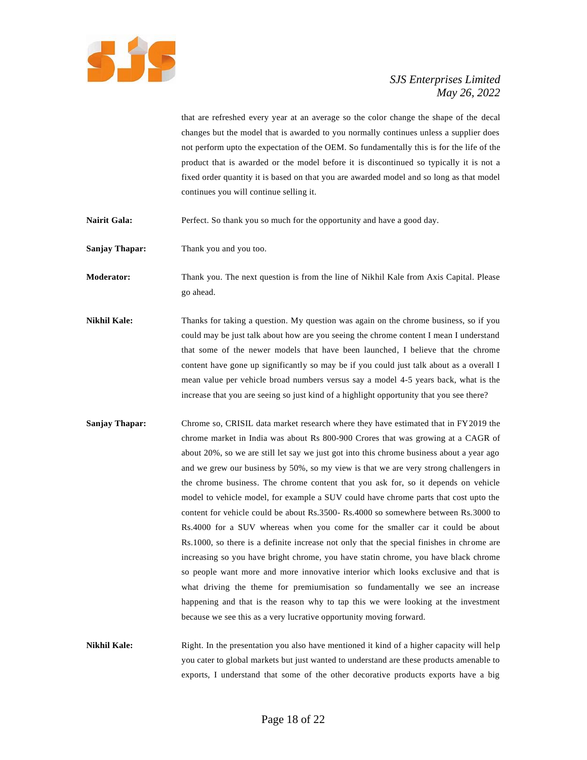

that are refreshed every year at an average so the color change the shape of the decal changes but the model that is awarded to you normally continues unless a supplier does not perform upto the expectation of the OEM. So fundamentally this is for the life of the product that is awarded or the model before it is discontinued so typically it is not a fixed order quantity it is based on that you are awarded model and so long as that model continues you will continue selling it.

**Nairit Gala:** Perfect. So thank you so much for the opportunity and have a good day.

**Sanjay Thapar:** Thank you and you too.

**Moderator:** Thank you. The next question is from the line of Nikhil Kale from Axis Capital. Please go ahead.

- **Nikhil Kale:** Thanks for taking a question. My question was again on the chrome business, so if you could may be just talk about how are you seeing the chrome content I mean I understand that some of the newer models that have been launched, I believe that the chrome content have gone up significantly so may be if you could just talk about as a overall I mean value per vehicle broad numbers versus say a model 4-5 years back, what is the increase that you are seeing so just kind of a highlight opportunity that you see there?
- **Sanjay Thapar:** Chrome so, CRISIL data market research where they have estimated that in FY2019 the chrome market in India was about Rs 800-900 Crores that was growing at a CAGR of about 20%, so we are still let say we just got into this chrome business about a year ago and we grew our business by 50%, so my view is that we are very strong challengers in the chrome business. The chrome content that you ask for, so it depends on vehicle model to vehicle model, for example a SUV could have chrome parts that cost upto the content for vehicle could be about Rs.3500- Rs.4000 so somewhere between Rs.3000 to Rs.4000 for a SUV whereas when you come for the smaller car it could be about Rs.1000, so there is a definite increase not only that the special finishes in chrome are increasing so you have bright chrome, you have statin chrome, you have black chrome so people want more and more innovative interior which looks exclusive and that is what driving the theme for premiumisation so fundamentally we see an increase happening and that is the reason why to tap this we were looking at the investment because we see this as a very lucrative opportunity moving forward.

**Nikhil Kale:** Right. In the presentation you also have mentioned it kind of a higher capacity will help you cater to global markets but just wanted to understand are these products amenable to exports, I understand that some of the other decorative products exports have a big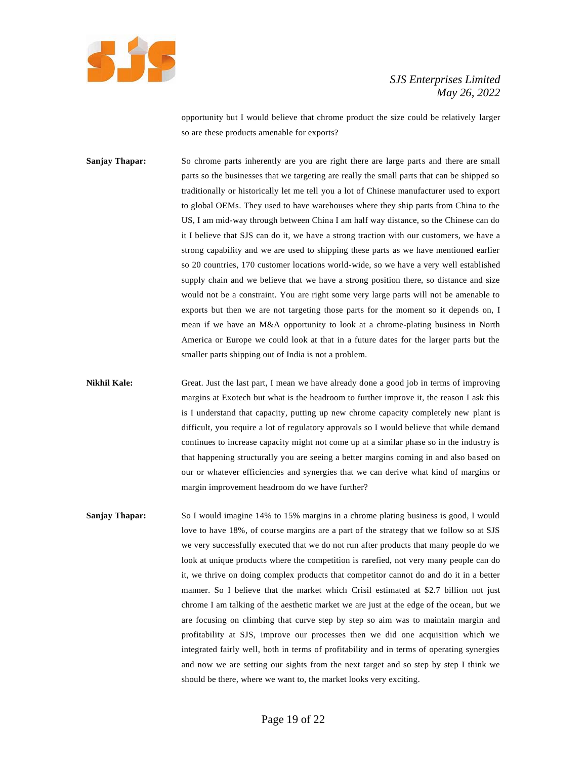

opportunity but I would believe that chrome product the size could be relatively larger so are these products amenable for exports?

**Sanjay Thapar:** So chrome parts inherently are you are right there are large parts and there are small parts so the businesses that we targeting are really the small parts that can be shipped so traditionally or historically let me tell you a lot of Chinese manufacturer used to export to global OEMs. They used to have warehouses where they ship parts from China to the US, I am mid-way through between China I am half way distance, so the Chinese can do it I believe that SJS can do it, we have a strong traction with our customers, we have a strong capability and we are used to shipping these parts as we have mentioned earlier so 20 countries, 170 customer locations world-wide, so we have a very well established supply chain and we believe that we have a strong position there, so distance and size would not be a constraint. You are right some very large parts will not be amenable to exports but then we are not targeting those parts for the moment so it depends on, I mean if we have an M&A opportunity to look at a chrome-plating business in North America or Europe we could look at that in a future dates for the larger parts but the smaller parts shipping out of India is not a problem.

**Nikhil Kale:** Great. Just the last part, I mean we have already done a good job in terms of improving margins at Exotech but what is the headroom to further improve it, the reason I ask this is I understand that capacity, putting up new chrome capacity completely new plant is difficult, you require a lot of regulatory approvals so I would believe that while demand continues to increase capacity might not come up at a similar phase so in the industry is that happening structurally you are seeing a better margins coming in and also based on our or whatever efficiencies and synergies that we can derive what kind of margins or margin improvement headroom do we have further?

**Sanjay Thapar:** So I would imagine 14% to 15% margins in a chrome plating business is good, I would love to have 18%, of course margins are a part of the strategy that we follow so at SJS we very successfully executed that we do not run after products that many people do we look at unique products where the competition is rarefied, not very many people can do it, we thrive on doing complex products that competitor cannot do and do it in a better manner. So I believe that the market which Crisil estimated at \$2.7 billion not just chrome I am talking of the aesthetic market we are just at the edge of the ocean, but we are focusing on climbing that curve step by step so aim was to maintain margin and profitability at SJS, improve our processes then we did one acquisition which we integrated fairly well, both in terms of profitability and in terms of operating synergies and now we are setting our sights from the next target and so step by step I think we should be there, where we want to, the market looks very exciting.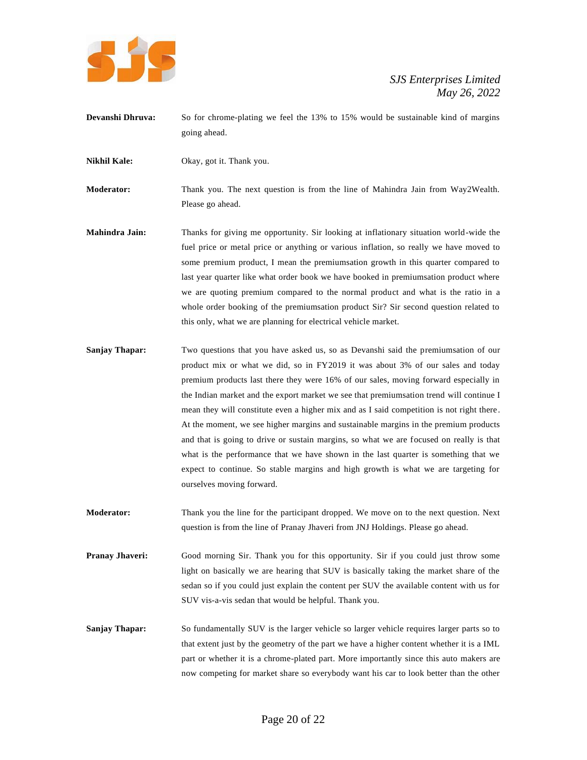

**Devanshi Dhruva:** So for chrome-plating we feel the 13% to 15% would be sustainable kind of margins going ahead.

**Nikhil Kale:** Okay, got it. Thank you.

**Moderator:** Thank you. The next question is from the line of Mahindra Jain from Way2Wealth. Please go ahead.

- **Mahindra Jain:** Thanks for giving me opportunity. Sir looking at inflationary situation world-wide the fuel price or metal price or anything or various inflation, so really we have moved to some premium product, I mean the premiumsation growth in this quarter compared to last year quarter like what order book we have booked in premiumsation product where we are quoting premium compared to the normal product and what is the ratio in a whole order booking of the premiumsation product Sir? Sir second question related to this only, what we are planning for electrical vehicle market.
- **Sanjay Thapar:** Two questions that you have asked us, so as Devanshi said the premiumsation of our product mix or what we did, so in FY2019 it was about 3% of our sales and today premium products last there they were 16% of our sales, moving forward especially in the Indian market and the export market we see that premiumsation trend will continue I mean they will constitute even a higher mix and as I said competition is not right there. At the moment, we see higher margins and sustainable margins in the premium products and that is going to drive or sustain margins, so what we are focused on really is that what is the performance that we have shown in the last quarter is something that we expect to continue. So stable margins and high growth is what we are targeting for ourselves moving forward.
- **Moderator:** Thank you the line for the participant dropped. We move on to the next question. Next question is from the line of Pranay Jhaveri from JNJ Holdings. Please go ahead.
- **Pranay Jhaveri:** Good morning Sir. Thank you for this opportunity. Sir if you could just throw some light on basically we are hearing that SUV is basically taking the market share of the sedan so if you could just explain the content per SUV the available content with us for SUV vis-a-vis sedan that would be helpful. Thank you.
- **Sanjay Thapar:** So fundamentally SUV is the larger vehicle so larger vehicle requires larger parts so to that extent just by the geometry of the part we have a higher content whether it is a IML part or whether it is a chrome-plated part. More importantly since this auto makers are now competing for market share so everybody want his car to look better than the other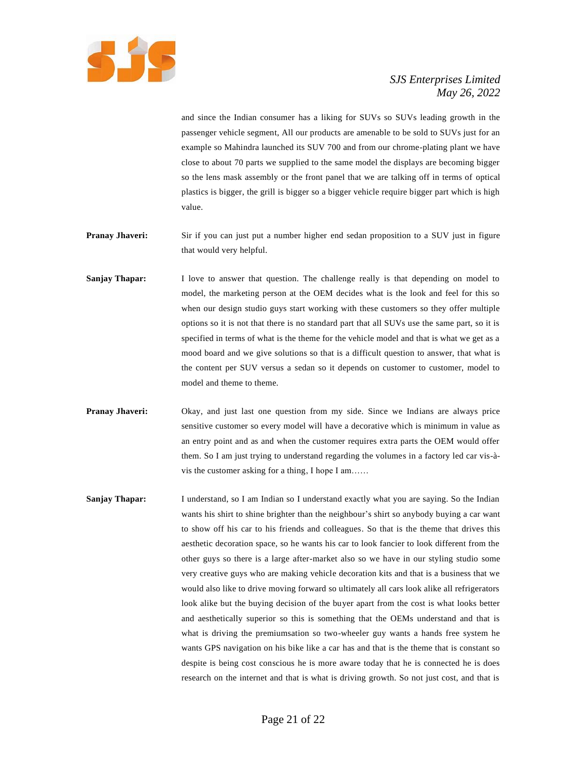

and since the Indian consumer has a liking for SUVs so SUVs leading growth in the passenger vehicle segment, All our products are amenable to be sold to SUVs just for an example so Mahindra launched its SUV 700 and from our chrome-plating plant we have close to about 70 parts we supplied to the same model the displays are becoming bigger so the lens mask assembly or the front panel that we are talking off in terms of optical plastics is bigger, the grill is bigger so a bigger vehicle require bigger part which is high value.

- **Pranay Jhaveri:** Sir if you can just put a number higher end sedan proposition to a SUV just in figure that would very helpful.
- **Sanjay Thapar:** I love to answer that question. The challenge really is that depending on model to model, the marketing person at the OEM decides what is the look and feel for this so when our design studio guys start working with these customers so they offer multiple options so it is not that there is no standard part that all SUVs use the same part, so it is specified in terms of what is the theme for the vehicle model and that is what we get as a mood board and we give solutions so that is a difficult question to answer, that what is the content per SUV versus a sedan so it depends on customer to customer, model to model and theme to theme.
- **Pranay Jhaveri:** Okay, and just last one question from my side. Since we Indians are always price sensitive customer so every model will have a decorative which is minimum in value as an entry point and as and when the customer requires extra parts the OEM would offer them. So I am just trying to understand regarding the volumes in a factory led car vis-àvis the customer asking for a thing, I hope I am……
- **Sanjay Thapar:** I understand, so I am Indian so I understand exactly what you are saying. So the Indian wants his shirt to shine brighter than the neighbour's shirt so anybody buying a car want to show off his car to his friends and colleagues. So that is the theme that drives this aesthetic decoration space, so he wants his car to look fancier to look different from the other guys so there is a large after-market also so we have in our styling studio some very creative guys who are making vehicle decoration kits and that is a business that we would also like to drive moving forward so ultimately all cars look alike all refrigerators look alike but the buying decision of the buyer apart from the cost is what looks better and aesthetically superior so this is something that the OEMs understand and that is what is driving the premiumsation so two-wheeler guy wants a hands free system he wants GPS navigation on his bike like a car has and that is the theme that is constant so despite is being cost conscious he is more aware today that he is connected he is does research on the internet and that is what is driving growth. So not just cost, and that is